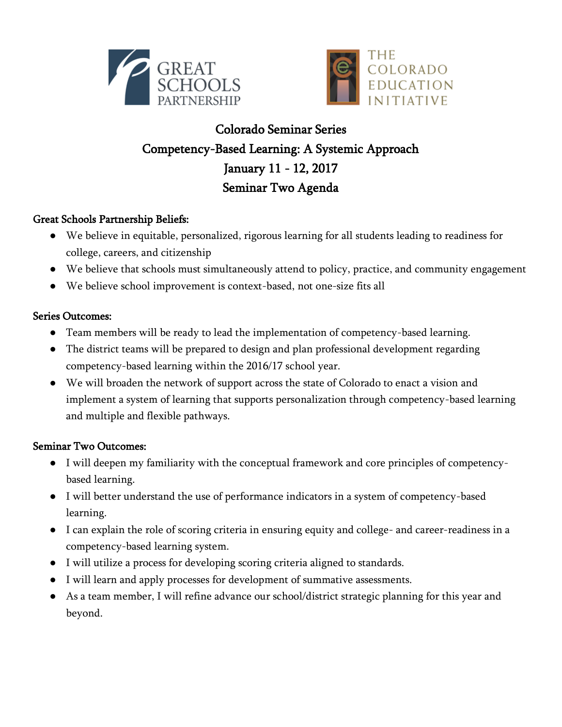



# Colorado Seminar Series Competency-Based Learning: A Systemic Approach January 11 - 12, 2017 Seminar Two Agenda

## Great Schools Partnership Beliefs:

- We believe in equitable, personalized, rigorous learning for all students leading to readiness for college, careers, and citizenship
- We believe that schools must simultaneously attend to policy, practice, and community engagement
- We believe school improvement is context-based, not one-size fits all

## Series Outcomes:

- Team members will be ready to lead the implementation of competency-based learning.
- The district teams will be prepared to design and plan professional development regarding competency-based learning within the 2016/17 school year.
- We will broaden the network of support across the state of Colorado to enact a vision and implement a system of learning that supports personalization through competency-based learning and multiple and flexible pathways.

## Seminar Two Outcomes:

- I will deepen my familiarity with the conceptual framework and core principles of competencybased learning.
- I will better understand the use of performance indicators in a system of competency-based learning.
- I can explain the role of scoring criteria in ensuring equity and college- and career-readiness in a competency-based learning system.
- I will utilize a process for developing scoring criteria aligned to standards.
- I will learn and apply processes for development of summative assessments.
- As a team member, I will refine advance our school/district strategic planning for this year and beyond.